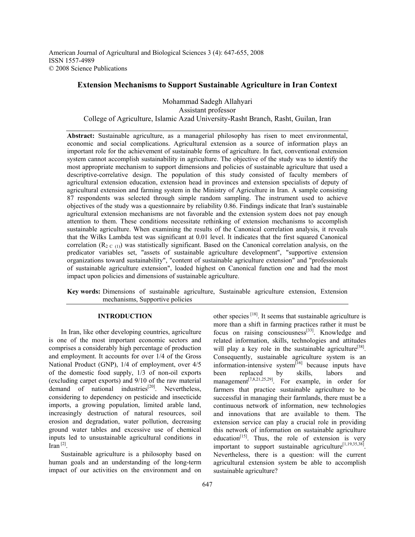American Journal of Agricultural and Biological Sciences 3 (4): 647-655, 2008 ISSN 1557-4989 © 2008 Science Publications

# **Extension Mechanisms to Support Sustainable Agriculture in Iran Context**

Mohammad Sadegh Allahyari Assistant professor College of Agriculture, Islamic Azad University-Rasht Branch, Rasht, Guilan, Iran

**Abstract:** Sustainable agriculture, as a managerial philosophy has risen to meet environmental, economic and social complications. Agricultural extension as a source of information plays an important role for the achievement of sustainable forms of agriculture. In fact, conventional extension system cannot accomplish sustainability in agriculture. The objective of the study was to identify the most appropriate mechanism to support dimensions and policies of sustainable agriculture that used a descriptive-correlative design. The population of this study consisted of faculty members of agricultural extension education, extension head in provinces and extension specialists of deputy of agricultural extension and farming system in the Ministry of Agriculture in Iran. A sample consisting 87 respondents was selected through simple random sampling. The instrument used to achieve objectives of the study was a questionnaire by reliability 0.86. Findings indicate that Iran's sustainable agricultural extension mechanisms are not favorable and the extension system does not pay enough attention to them. These conditions necessitate rethinking of extension mechanisms to accomplish sustainable agriculture. When examining the results of the Canonical correlation analysis, it reveals that the Wilks Lambda test was significant at 0.01 level. It indicates that the first squared Canonical correlation  $(R_{2, C, (1)})$  was statistically significant. Based on the Canonical correlation analysis, on the predicator variables set, "assets of sustainable agriculture development", "supportive extension organizations toward sustainability", "content of sustainable agriculture extension" and "professionals of sustainable agriculture extension", loaded highest on Canonical function one and had the most impact upon policies and dimensions of sustainable agriculture.

**Key words:** Dimensions of sustainable agriculture, Sustainable agriculture extension, Extension mechanisms, Supportive policies

### **INTRODUCTION**

 In Iran, like other developing countries, agriculture is one of the most important economic sectors and comprises a considerably high percentage of production and employment. It accounts for over 1/4 of the Gross National Product (GNP), 1/4 of employment, over 4/5 of the domestic food supply, 1/3 of non-oil exports (excluding carpet exports) and 9/10 of the raw material demand of national industries $^{[20]}$ . Nevertheless, considering to dependency on pesticide and insecticide imports, a growing population, limited arable land, increasingly destruction of natural resources, soil erosion and degradation, water pollution, decreasing ground water tables and excessive use of chemical inputs led to unsustainable agricultural conditions in Iran $^{[2]}$ .

 Sustainable agriculture is a philosophy based on human goals and an understanding of the long-term impact of our activities on the environment and on

other species [18]. It seems that sustainable agriculture is more than a shift in farming practices rather it must be focus on raising consciousness[33]. Knowledge and related information, skills, technologies and attitudes will play a key role in the sustainable agriculture<sup>[38]</sup>. Consequently, sustainable agriculture system is an information-intensive system $\left[ {}^{16} \right]$  because inputs have been replaced by skills, labors and management<sup>[7,8,21,25,29]</sup>. For example, in order for farmers that practice sustainable agriculture to be successful in managing their farmlands, there must be a continuous network of information, new technologies and innovations that are available to them. The extension service can play a crucial role in providing this network of information on sustainable agriculture education $[15]$ . Thus, the role of extension is very important to support sustainable agriculture<sup>[1,19,35,38]</sup>. Nevertheless, there is a question: will the current agricultural extension system be able to accomplish sustainable agriculture?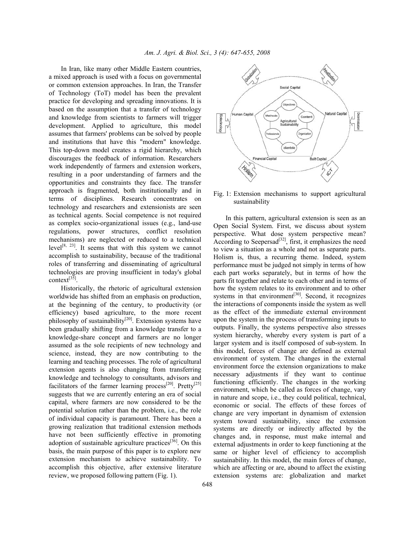In Iran, like many other Middle Eastern countries, a mixed approach is used with a focus on governmental or common extension approaches. In Iran, the Transfer of Technology (ToT) model has been the prevalent practice for developing and spreading innovations. It is based on the assumption that a transfer of technology and knowledge from scientists to farmers will trigger development. Applied to agriculture, this model assumes that farmers' problems can be solved by people and institutions that have this "modern" knowledge. This top-down model creates a rigid hierarchy, which discourages the feedback of information. Researchers work independently of farmers and extension workers, resulting in a poor understanding of farmers and the opportunities and constraints they face. The transfer approach is fragmented, both institutionally and in terms of disciplines. Research concentrates on technology and researchers and extensionists are seen as technical agents. Social competence is not required as complex socio-organizational issues (e.g., land-use regulations, power structures, conflict resolution mechanisms) are neglected or reduced to a technical level<sup>[8, 23]</sup>. It seems that with this system we cannot accomplish to sustainability, because of the traditional roles of transferring and disseminating of agricultural technologies are proving insufficient in today's global context $^{[35]}$ .

 Historically, the rhetoric of agricultural extension worldwide has shifted from an emphasis on production, at the beginning of the century, to productivity (or efficiency) based agriculture, to the more recent philosophy of sustainability $[20]$ . Extension systems have been gradually shifting from a knowledge transfer to a knowledge-share concept and farmers are no longer assumed as the sole recipients of new technology and science, instead, they are now contributing to the learning and teaching processes. The role of agricultural extension agents is also changing from transferring knowledge and technology to consultants, advisors and facilitators of the farmer learning process<sup>[20]</sup>. Pretty<sup>[25]</sup> suggests that we are currently entering an era of social capital, where farmers are now considered to be the potential solution rather than the problem, i.e., the role of individual capacity is paramount. There has been a growing realization that traditional extension methods have not been sufficiently effective in promoting adoption of sustainable agriculture practices<sup>[36]</sup>. On this basis, the main purpose of this paper is to explore new extension mechanism to achieve sustainability. To accomplish this objective, after extensive literature review, we proposed following pattern (Fig. 1).



Fig. 1: Extension mechanisms to support agricultural sustainability

 In this pattern, agricultural extension is seen as an Open Social System. First, we discuss about system perspective. What dose system perspective mean? According to Seepersad<sup>[32]</sup>, first, it emphasizes the need to view a situation as a whole and not as separate parts. Holism is, thus, a recurring theme. Indeed, system performance must be judged not simply in terms of how each part works separately, but in terms of how the parts fit together and relate to each other and in terms of how the system relates to its environment and to other systems in that environment $[30]$ . Second, it recognizes the interactions of components inside the system as well as the effect of the immediate external environment upon the system in the process of transforming inputs to outputs. Finally, the systems perspective also stresses system hierarchy, whereby every system is part of a larger system and is itself composed of sub-system. In this model, forces of change are defined as external environment of system. The changes in the external environment force the extension organizations to make necessary adjustments if they want to continue functioning efficiently. The changes in the working environment, which be called as forces of change, vary in nature and scope, i.e., they could political, technical, economic or social. The effects of these forces of change are very important in dynamism of extension system toward sustainability, since the extension systems are directly or indirectly affected by the changes and, in response, must make internal and external adjustments in order to keep functioning at the same or higher level of efficiency to accomplish sustainability. In this model, the main forces of change, which are affecting or are, abound to affect the existing extension systems are: globalization and market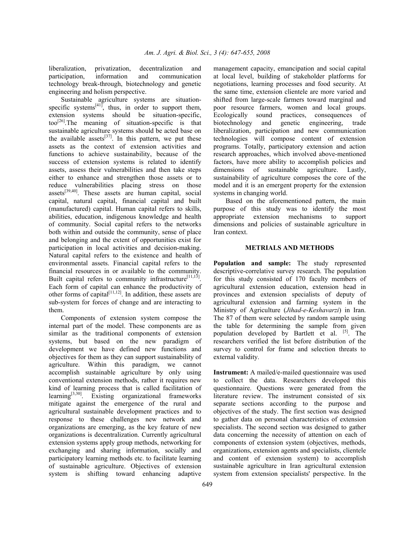liberalization, privatization, decentralization and participation, information and communication technology break-through, biotechnology and genetic engineering and holism perspective.

 Sustainable agriculture systems are situationspecific systems $[41]$ , thus, in order to support them, extension systems should be situation-specific, too<sup>[26]</sup>.The meaning of situation-specific is that sustainable agriculture systems should be acted base on the available assets $^{[37]}$ . In this pattern, we put these assets as the context of extension activities and functions to achieve sustainability, because of the success of extension systems is related to identify assets, assess their vulnerabilities and then take steps either to enhance and strengthen those assets or to reduce vulnerabilities placing stress on those  $assets^{[39,40]}$ . These assets are human capital, social capital, natural capital, financial capital and built (manufactured) capital. Human capital refers to skills, abilities, education, indigenous knowledge and health of community. Social capital refers to the networks both within and outside the community, sense of place and belonging and the extent of opportunities exist for participation in local activities and decision-making. Natural capital refers to the existence and health of environmental assets. Financial capital refers to the financial resources in or available to the community. Built capital refers to community infrastructure<sup>[11,13]</sup>. Each form of capital can enhance the productivity of other forms of capital<sup>[11,12]</sup>. In addition, these assets are sub-system for forces of change and are interacting to them.

 Components of extension system compose the internal part of the model. These components are as similar as the traditional components of extension systems, but based on the new paradigm of development we have defined new functions and objectives for them as they can support sustainability of agriculture. Within this paradigm, we cannot accomplish sustainable agriculture by only using conventional extension methods, rather it requires new kind of learning process that is called facilitation of learning[3,30]. Existing organizational frameworks mitigate against the emergence of the rural and agricultural sustainable development practices and to response to these challenges new network and organizations are emerging, as the key feature of new organizations is decentralization. Currently agricultural extension systems apply group methods, networking for exchanging and sharing information, socially and participatory learning methods etc. to facilitate learning of sustainable agriculture. Objectives of extension system is shifting toward enhancing adaptive

management capacity, emancipation and social capital at local level, building of stakeholder platforms for negotiations, learning processes and food security. At the same time, extension clientele are more varied and shifted from large-scale farmers toward marginal and poor resource farmers, women and local groups. Ecologically sound practices, consequences of biotechnology and genetic engineering, trade liberalization, participation and new communication technologies will compose content of extension programs. Totally, participatory extension and action research approaches, which involved above-mentioned factors, have more ability to accomplish policies and dimensions of sustainable agriculture. Lastly, sustainability of agriculture composes the core of the model and it is an emergent property for the extension systems in changing world.

 Based on the aforementioned pattern, the main purpose of this study was to identify the most appropriate extension mechanisms to support dimensions and policies of sustainable agriculture in Iran context.

## **METRIALS AND METHODS**

**Population and sample:** The study represented descriptive-correlative survey research. The population for this study consisted of 170 faculty members of agricultural extension education, extension head in provinces and extension specialists of deputy of agricultural extension and farming system in the Ministry of Agriculture (*Jihad-e-Keshavarzi*) in Iran. The 87 of them were selected by random sample using the table for determining the sample from given population developed by Bartlett et al.  $\begin{bmatrix} 5 \end{bmatrix}$ . The researchers verified the list before distribution of the survey to control for frame and selection threats to external validity.

**Instrument:** A mailed/e-mailed questionnaire was used to collect the data. Researchers developed this questionnaire. Questions were generated from the literature review. The instrument consisted of six separate sections according to the purpose and objectives of the study. The first section was designed to gather data on personal characteristics of extension specialists. The second section was designed to gather data concerning the necessity of attention on each of components of extension system (objectives, methods, organizations, extension agents and specialists, clientele and content of extension system) to accomplish sustainable agriculture in Iran agricultural extension system from extension specialists' perspective. In the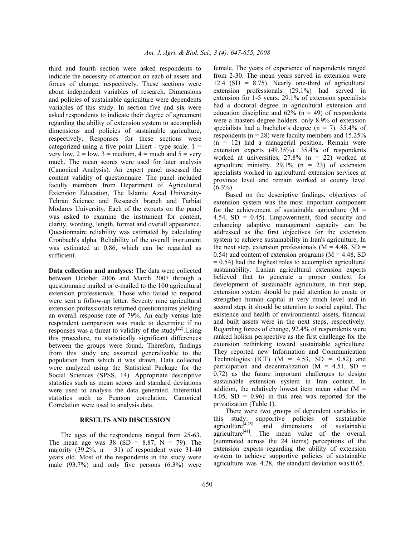third and fourth section were asked respondents to indicate the necessity of attention on each of assets and forces of change, respectively. These sections were about independent variables of research. Dimensions and policies of sustainable agriculture were dependents variables of this study. In section five and six were asked respondents to indicate their degree of agreement regarding the ability of extension system to accomplish dimensions and policies of sustainable agriculture, respectively. Responses for these sections were categorized using a five point Likert - type scale:  $1 =$ very low,  $2 =$  low,  $3 =$  medium,  $4 =$  much and  $5 =$  very much. The mean scores were used for later analysis (Canonical Analysis). An expert panel assessed the content validity of questionnaire. The panel included faculty members from Department of Agricultural Extension Education, The Islamic Azad University-Tehran Science and Research branch and Tarbiat Modares University. Each of the experts on the panel was asked to examine the instrument for content, clarity, wording, length, format and overall appearance. Questionnaire reliability was estimated by calculating Cronbach's alpha. Reliability of the overall instrument was estimated at 0.86, which can be regarded as sufficient.

**Data collection and analyses:** The data were collected between October 2006 and March 2007 through a questionnaire mailed or e-mailed to the 100 agricultural extension professionals. Those who failed to respond were sent a follow-up letter. Seventy nine agricultural extension professionals returned questionnaires yielding an overall response rate of 79%. An early versus late respondent comparison was made to determine if no responses was a threat to validity of the study<sup>[22]</sup>. Using this procedure, no statistically significant differences between the groups were found. Therefore, findings from this study are assumed generalizable to the population from which it was drawn. Data collected were analyzed using the Statistical Package for the Social Sciences (SPSS, 14). Appropriate descriptive statistics such as mean scores and standard deviations were used to analysis the data generated. Inferential statistics such as Pearson correlation, Canonical Correlation were used to analysis data.

#### **RESULTS AND DISCUSSION**

 The ages of the respondents ranged from 25-63. The mean age was 38 (SD = 8.87, N = 79). The majority (39.2%,  $n = 31$ ) of respondent were 31-40 years old. Most of the respondents in the study were male (93.7%) and only five persons (6.3%) were female. The years of experience of respondents ranged from 2-30. The mean years served in extension were 12.4 (SD =  $8.75$ ). Nearly one-third of agricultural extension professionals (29.1%) had served in extension for 1-5 years. 29.1% of extension specialists had a doctoral degree in agricultural extension and education discipline and  $62\%$  (n = 49) of respondents were a masters degree holders. only 8.9% of extension specialists had a bachelor's degree  $(n = 7)$ . 35.4% of respondents ( $n = 28$ ) were faculty members and 15.25%  $(n = 12)$  had a managerial position. Remain were extension experts (49.35%). 35.4% of respondents worked at universities, 27.8% (n = 22) worked at agriculture ministry.  $29.1\%$  (n = 23) of extension specialists worked in agricultural extension services at province level and remain worked at county level  $(6.3\%)$ .

 Based on the descriptive findings, objectives of extension system was the most important component for the achievement of sustainable agriculture  $(M =$ 4.54,  $SD = 0.45$ ). Empowerment, food security and enhancing adaptive management capacity can be addressed as the first objectives for the extension system to achieve sustainability in Iran's agriculture. In the next step, extension professionals ( $M = 4.48$ , SD = 0.54) and content of extension programs  $(M = 4.48, SD)$  $= 0.54$ ) had the highest roles to accomplish agricultural sustainability. Iranian agricultural extension experts believed that to generate a proper context for development of sustainable agriculture, in first step, extension system should be paid attention to create or strengthen human capital at very much level and in second step, it should be attention to social capital. The existence and health of environmental assets, financial and built assets were in the next steps, respectively. Regarding forces of change, 92.4% of respondents were ranked holism perspective as the first challenge for the extension rethinking toward sustainable agriculture. They reported new Information and Communication Technologies (ICT)  $(M = 4.53, SD = 0.82)$  and participation and decentralization  $(M = 4.51, SD =$ 0.72) as the future important challenges to design sustainable extension system in Iran context. In addition, the relatively lowest item mean value ( $M =$ 4.05,  $SD = 0.96$  in this area was reported for the privatization (Table 1).

 There were two groups of dependent variables in this study: supportive policies of sustainable agriculture<sup>[4,25]</sup> and dimensions of sustainable agriculture<sup>[41]</sup>. The mean value of the overall (summated across the 24 items) perceptions of the extension experts regarding the ability of extension system to achieve supportive policies of sustainable agriculture was 4.28, the standard deviation was 0.65.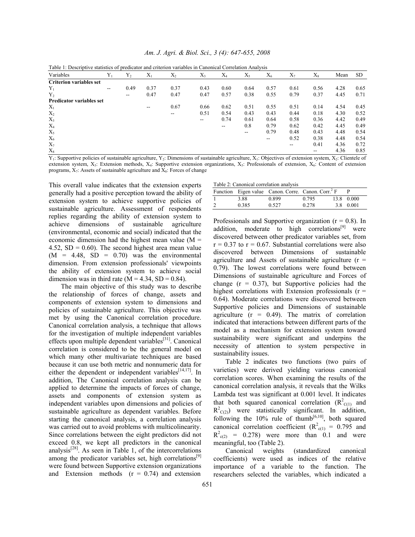| Variables                       | $Y_1$ | $Y_2$                    | $X_1$ | $X_2$ | $X_3$ | $X_4$ | $X_{5}$ | $X_6$ | $X_7$ | $X_{\rm s}$ | Mean | SD.  |
|---------------------------------|-------|--------------------------|-------|-------|-------|-------|---------|-------|-------|-------------|------|------|
| <b>Criterion variables set</b>  |       |                          |       |       |       |       |         |       |       |             |      |      |
| $Y_1$                           | --    | 0.49                     | 0.37  | 0.37  | 0.43  | 0.60  | 0.64    | 0.57  | 0.61  | 0.56        | 4.28 | 0.65 |
| $Y_{2}$                         |       | $\overline{\phantom{m}}$ | 0.47  | 0.47  | 0.47  | 0.57  | 0.38    | 0.55  | 0.79  | 0.37        | 4.45 | 0.71 |
| <b>Predicator variables set</b> |       |                          |       |       |       |       |         |       |       |             |      |      |
| $X_1$                           |       |                          | --    | 0.67  | 0.66  | 0.62  | 0.51    | 0.55  | 0.51  | 0.14        | 4.54 | 0.45 |
| $X_2$                           |       |                          |       | $- -$ | 0.51  | 0.54  | 0.43    | 0.43  | 0.44  | 0.18        | 4.30 | 0.52 |
| $X_3$                           |       |                          |       |       | --    | 0.74  | 0.61    | 0.64  | 0.58  | 0.36        | 4.42 | 0.49 |
| $X_4$                           |       |                          |       |       |       | --    | 0.8     | 0.79  | 0.62  | 0.42        | 4.45 | 0.49 |
| $X_5$                           |       |                          |       |       |       |       | $- -$   | 0.79  | 0.48  | 0.43        | 4.48 | 0.54 |
| $X_6$                           |       |                          |       |       |       |       |         | $- -$ | 0.52  | 0.38        | 4.48 | 0.54 |
| $X_7$                           |       |                          |       |       |       |       |         |       | --    | 0.41        | 4.36 | 0.72 |
| $X_8$                           |       |                          |       |       |       |       |         |       |       | --          | 4.36 | 0.85 |

*Am. J. Agri. & Biol. Sci., 3 (4): 647-655, 2008* 

| Table 1: Descriptive statistics of predicator and criterion variables in Canonical Correlation Analysis |  |  |  |  |
|---------------------------------------------------------------------------------------------------------|--|--|--|--|
|                                                                                                         |  |  |  |  |

 $Y_1$ : Supportive policies of sustainable agriculture,  $Y_2$ : Dimensions of sustainable agriculture,  $X_1$ : Objectives of extension system,  $X_2$ : Clientele of extension system, X<sub>3</sub>: Extension methods, X<sub>4</sub>: Supportive extension organizations, X<sub>5</sub>: Professionals of extension, X<sub>6</sub>: Content of extension programs,  $X_7$ : Assets of sustainable agriculture and  $X_8$ : Forces of change

This overall value indicates that the extension experts generally had a positive perception toward the ability of extension system to achieve supportive policies of sustainable agriculture. Assessment of respondents replies regarding the ability of extension system to achieve dimensions of sustainable agriculture (environmental, economic and social) indicated that the economic dimension had the highest mean value (M = 4.52,  $SD = 0.60$ . The second highest area mean value  $(M = 4.48, SD = 0.70)$  was the environmental dimension. From extension professionals' viewpoints the ability of extension system to achieve social dimension was in third rate ( $M = 4.34$ , SD = 0.84).

 The main objective of this study was to describe the relationship of forces of change, assets and components of extension system to dimensions and policies of sustainable agriculture. This objective was met by using the Canonical correlation procedure. Canonical correlation analysis, a technique that allows for the investigation of multiple independent variables effects upon multiple dependent variables<sup>[31]</sup>. Canonical correlation is considered to be the general model on which many other multivariate techniques are based because it can use both metric and nonnumeric data for either the dependent or independent variables<sup>[14,17]</sup>. In addition, The Canonical correlation analysis can be applied to determine the impacts of forces of change, assets and components of extension system as independent variables upon dimensions and policies of sustainable agriculture as dependent variables. Before starting the canonical analysis, a correlation analysis was carried out to avoid problems with multicolinearity. Since correlations between the eight predictors did not exceed 0.8, we kept all predictors in the canonical analysis[28]. As seen in Table 1, of the intercorrelations among the predicator variables set, high correlations<sup>[9]</sup> were found between Supportive extension organizations and Extension methods  $(r = 0.74)$  and extension Table 2: Canonical correlation analysis

|   |       | Function Eigen value Canon. Corre. Canon. Corr. <sup>2</sup> F |       |            |
|---|-------|----------------------------------------------------------------|-------|------------|
|   | 3.88  | 0.899                                                          | 0.795 | 13.8 0.000 |
| 2 | 0.385 | 0.527                                                          | 0.278 | 3.8 0.001  |

Professionals and Supportive organization  $(r = 0.8)$ . In addition, moderate to high correlations $[9]$  were discovered between other predicator variables set, from  $r = 0.37$  to  $r = 0.67$ . Substantial correlations were also discovered between Dimensions of sustainable agriculture and Assets of sustainable agriculture  $(r =$ 0.79). The lowest correlations were found between Dimensions of sustainable agriculture and Forces of change  $(r = 0.37)$ , but Supportive policies had the highest correlations with Extension professionals  $(r =$ 0.64). Moderate correlations were discovered between Supportive policies and Dimensions of sustainable agriculture  $(r = 0.49)$ . The matrix of correlation indicated that interactions between different parts of the model as a mechanism for extension system toward sustainability were significant and underpins the necessity of attention to system perspective in sustainability issues.

 Table 2 indicates two functions (two pairs of varieties) were derived yielding various canonical correlation scores. When examining the results of the canonical correlation analysis, it reveals that the Wilks Lambda test was significant at 0.001 level. It indicates that both squared canonical correlation  $(R^2_{\text{C(1)}})$  and  $R^2$ <sub>C(2)</sub>) were statistically significant. In addition, following the  $10\%$  rule of thumb<sup>[6,10]</sup>, both squared canonical correlation coefficient ( $R^2_{\text{c}(1)} = 0.795$  and  $R^2$ <sub>c(2)</sub> = 0.278) were more than 0.1 and were meaningful, too (Table 2).

 Canonical weights (standardized canonical coefficients) were used as indices of the relative importance of a variable to the function. The researchers selected the variables, which indicated a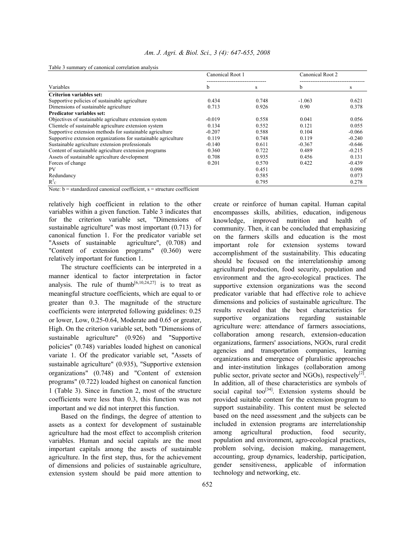|                                                                | Canonical Root 1 |       | Canonical Root 2 |          |  |
|----------------------------------------------------------------|------------------|-------|------------------|----------|--|
| Variables                                                      | b                | S     | b                | s        |  |
| <b>Criterion variables set:</b>                                |                  |       |                  |          |  |
| Supportive policies of sustainable agriculture                 | 0.434            | 0.748 | $-1.063$         | 0.621    |  |
| Dimensions of sustainable agriculture                          | 0.713            | 0.926 | 0.90             | 0.378    |  |
| <b>Predicator variables set:</b>                               |                  |       |                  |          |  |
| Objectives of sustainable agriculture extension system         | $-0.019$         | 0.558 | 0.041            | 0.056    |  |
| Clientele of sustainable agriculture extension system          | 0.134            | 0.552 | 0.121            | 0.055    |  |
| Supportive extension methods for sustainable agriculture       | $-0.207$         | 0.588 | 0.104            | $-0.066$ |  |
| Supportive extension organizations for sustainable agriculture | 0.119            | 0.748 | 0.119            | $-0.240$ |  |
| Sustainable agriculture extension professionals                | $-0.140$         | 0.611 | $-0.367$         | $-0.646$ |  |
| Content of sustainable agriculture extension programs          | 0.360            | 0.722 | 0.489            | $-0.215$ |  |
| Assets of sustainable agriculture development                  | 0.708            | 0.935 | 0.456            | 0.131    |  |
| Forces of change                                               | 0.201            | 0.570 | 0.422            | $-0.439$ |  |
| PV                                                             |                  | 0.451 |                  | 0.098    |  |
| Redundancy                                                     |                  | 0.585 |                  | 0.073    |  |
| $R_{C}^{2}$                                                    |                  | 0.795 |                  | 0.278    |  |

Table 3 summary of canonical correlation analysis

Note:  $b =$  standardized canonical coefficient,  $s =$  structure coefficient

relatively high coefficient in relation to the other variables within a given function. Table 3 indicates that for the criterion variable set, "Dimensions of sustainable agriculture" was most important (0.713) for canonical function 1. For the predicator variable set "Assets of sustainable agriculture", (0.708) and "Content of extension programs" (0.360) were relatively important for function 1.

 The structure coefficients can be interpreted in a manner identical to factor interpretation in factor analysis. The rule of thumb<sup>[6,10,24,27]</sup> is to treat as meaningful structure coefficients, which are equal to or greater than 0.3. The magnitude of the structure coefficients were interpreted following guidelines: 0.25 or lower, Low, 0.25-0.64, Moderate and 0.65 or greater, High. On the criterion variable set, both "Dimensions of sustainable agriculture" (0.926) and "Supportive policies" (0.748) variables loaded highest on canonical variate 1. Of the predicator variable set, "Assets of sustainable agriculture" (0.935), "Supportive extension organizations" (0.748) and "Content of extension programs" (0.722) loaded highest on canonical function 1 (Table 3). Since in function 2, most of the structure coefficients were less than 0.3, this function was not important and we did not interpret this function.

 Based on the findings, the degree of attention to assets as a context for development of sustainable agriculture had the most effect to accomplish criterion variables. Human and social capitals are the most important capitals among the assets of sustainable agriculture. In the first step, thus, for the achievement of dimensions and policies of sustainable agriculture, extension system should be paid more attention to

create or reinforce of human capital. Human capital encompasses skills, abilities, education, indigenous knowledge, improved nutrition and health of community. Then, it can be concluded that emphasizing on the farmers skills and education is the most important role for extension systems toward accomplishment of the sustainability. This educating should be focused on the interrelationship among agricultural production, food security, population and environment and the agro-ecological practices. The supportive extension organizations was the second predicator variable that had effective role to achieve dimensions and policies of sustainable agriculture. The results revealed that the best characteristics for supportive organizations regarding sustainable agriculture were: attendance of farmers associations, collaboration among research, extension-education organizations, farmers' associations, NGOs, rural credit agencies and transportation companies, learning organizations and emergence of pluralistic approaches and inter-institution linkages (collaboration among public sector, private sector and NGOs), respectively $[2]$ . In addition, all of these characteristics are symbols of social capital too<sup>[34]</sup>. Extension systems should be provided suitable content for the extension program to support sustainability. This content must be selected based on the need assessment ,and the subjects can be included in extension programs are interrelationship among agricultural production, food security, population and environment, agro-ecological practices, problem solving, decision making, management, accounting, group dynamics, leadership, participation, gender sensitiveness, applicable of information technology and networking, etc.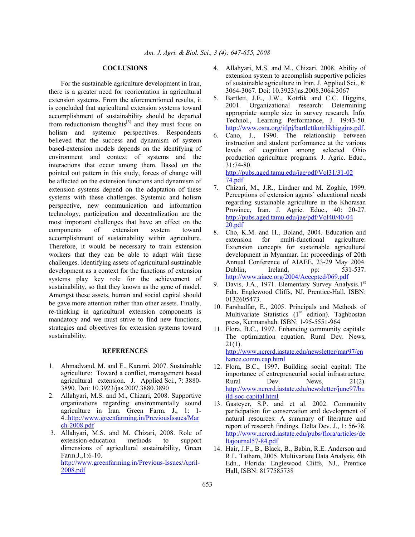### **COCLUSIONS**

 For the sustainable agriculture development in Iran, there is a greater need for reorientation in agricultural extension systems. From the aforementioned results, it is concluded that agricultural extension systems toward accomplishment of sustainability should be departed from reductionism thoughts $[3]$  and they must focus on holism and systemic perspectives. Respondents believed that the success and dynamism of system based-extension models depends on the identifying of environment and context of systems and the interactions that occur among them. Based on the pointed out pattern in this study, forces of change will be affected on the extension functions and dynamism of extension systems depend on the adaptation of these systems with these challenges. Systemic and holism perspective, new communication and information technology, participation and decentralization are the most important challenges that have an effect on the components of extension system toward accomplishment of sustainability within agriculture. Therefore, it would be necessary to train extension workers that they can be able to adapt whit these challenges. Identifying assets of agricultural sustainable development as a context for the functions of extension systems play key role for the achievement of sustainability, so that they known as the gene of model. Amongst these assets, human and social capital should be gave more attention rather than other assets. Finally, re-thinking in agricultural extension components is mandatory and we must strive to find new functions, strategies and objectives for extension systems toward sustainability.

#### **REFERENCES**

- 1. Ahmadvand, M. and E., Karami, 2007. Sustainable agriculture: Toward a conflict, management based agricultural extension. J. Applied Sci., 7: 3880- 3890. Doi: 10.3923/jas.2007.3880.3890
- 2. Allahyari, M.S. and M., Chizari, 2008. Supportive organizations regarding environmentally sound agriculture in Iran. Green Farm. J., 1: 1- 4.:http://www.greenfarming.in/PreviousIssues/Mar ch-2008.pdf
- 3. Allahyari, M.S. and M. Chizari, 2008. Role of extension-education methods to support dimensions of agricultural sustainability, Green Farm.J.,1:6-10. http://www.greenfarming.in/Previous-Issues/April-2008.pdf
- 4. Allahyari, M.S. and M., Chizari, 2008. Ability of extension system to accomplish supportive policies of sustainable agriculture in Iran. J. Applied Sci., 8: 3064-3067. Doi: 10.3923/jas.2008.3064.3067
- 5. Bartlett, J.E., J.W., Kotrlik and C.C. Higgins, 2001. Organizational research: Determining appropriate sample size in survey research. Info. Technol., Learning Performance, J. 19:43-50. http://www.osra.org/itlpj/bartlettkotrlikhiggins.pdf.
- 6. Cano, J., 1990. The relationship between instruction and student performance at the various levels of cognition among selected Ohio production agriculture programs. J. Agric. Educ., 31:74-80.

http://pubs.aged.tamu.edu/jae/pdf/Vol31/31-02 74.pdf

- 7. Chizari, M., J.R., Lindner and M. Zoghie, 1999. Perceptions of extension agents' educational needs regarding sustainable agriculture in the Khorasan Province, Iran. J. Agric. Educ., 40: 20-27. http://pubs.aged.tamu.edu/jae/pdf/Vol40/40-04  $20.$ pdf
- 8. Cho, K.M. and H., Boland, 2004. Education and extension for multi-functional agriculture: Extension concepts for sustainable agricultural development in Myanmar. In: proceedings of 20th Annual Conference of AIAEE, 23-29 May 2004. Dublin, Ireland, pp: 531-537. http://www.aiaee.org/2004/Accepted/069.pdf
- 9. Davis, J.A., 1971. Elementary Survey Analysis.1st Edn. Englewood Cliffs, NJ, Prentice-Hall. ISBN: 0132605473.
- 10. Farshadfar, E., 2005. Principals and Methods of Multivariate Statistics  $(1<sup>st</sup>$  edition). Taghbostan press, Kermanshah. ISBN: 1-95-5551-964
- 11. Flora, B.C., 1997. Enhancing community capitals: The optimization equation. Rural Dev. News,  $21(1)$ . http://www.ncrcrd.iastate.edu/newsletter/mar97/en hance.comm.cap.html
- 12. Flora, B.C., 1997. Building social capital: The importance of entrepreneurial social infrastructure. Rural Dev. News, 21(2).<br>http://www.ncrcrd.iastate.edu/newsletter/june97/bu ild-soc-capital.html
- 13. Gasteyer, S.P. and et al. 2002. Community participation for conservation and development of natural resources: A summary of literature and report of research findings. Delta Dev. J., 1: 56-78. http://www.ncrcrd.iastate.edu/pubs/flora/articles/de ltajournal57-84.pdf
- 14. Hair, J.F., B., Black, B., Babin, R.E. Anderson and R.L. Tatham, 2005. Multivariate Data Analysis. 6th Edn., Florida: Englewood Cliffs, NJ., Prentice Hall, ISBN: 8177585738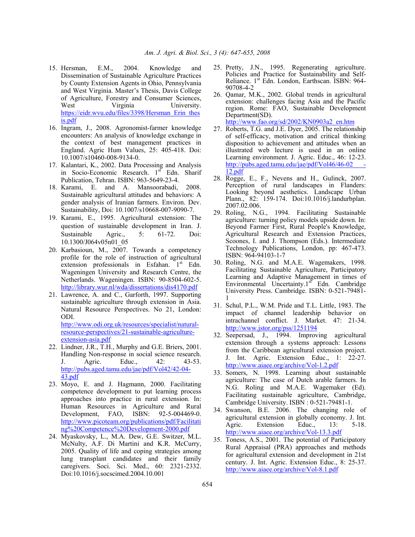- 15. Hersman, E.M., 2004. Knowledge and Dissemination of Sustainable Agriculture Practices by County Extension Agents in Ohio, Pennsylvania and West Virginia. Master's Thesis, Davis College of Agriculture, Forestry and Consumer Sciences, West Virginia University. https://eidr.wvu.edu/files/3398/Hersman\_Erin\_thes is.pdf
- 16. Ingram, J., 2008. Agronomist-farmer knowledge encounters: An analysis of knowledge exchange in the context of best management practices in England. Agric Hum Values, 25: 405-418. Doi: 10.1007/s10460-008-9134-0.
- 17. Kalantari, K., 2002. Data Processing and Analysis in Socio-Economic Research. 1<sup>st</sup> Edn. Sharif Publication, Tehran. ISBN: 963-5649-23-4.
- 18. Karami, E. and A. Mansoorabadi, 2008. Sustainable agricultural attitudes and behaviors: A gender analysis of Iranian farmers. Environ. Dev. Sustainability, Doi: 10.1007/s10668-007-9090-7.
- 19. Karami, E., 1995. Agricultural extension: The question of sustainable development in Iran. J. Sustainable Agric., 5: 61-72. Doi: 10.1300/J064v05n01\_05
- 20. Karbasioun, M., 2007. Towards a competency profile for the role of instruction of agricultural extension professionals in Esfahan. 1<sup>st</sup> Edn. Wageningen University and Research Centre, the Netherlands. Wageningen. ISBN: 90-8504-602-5. http://library.wur.nl/wda/dissertations/dis4170.pdf
- 21. Lawrence, A. and C., Garforth, 1997. Supporting sustainable agriculture through extension in Asia. Natural Resource Perspectives. No 21, London: ODI. http://www.odi.org.uk/resources/specialist/natural-

resource-perspectives/21-sustainable-agricultureextension-asia.pdf

- 22. Lindner, J.R., T.H., Murphy and G.E. Briers, 2001. Handling Non-response in social science research. J. Agric. Educ., 42: 43-53. http://pubs.aged.tamu.edu/jae/pdf/Vol42/42-04- 43.pdf
- 23. Moyo, E. and J. Hagmann, 2000. Facilitating competence development to put learning process approaches into practice in rural extension. In: Human Resources in Agriculture and Rural Development, FAO, ISBN: 92-5-004469-0. http://www.picoteam.org/publications/pdf/Facilitating%20Competence%20Development-2000.pdf
- 24. Myaskovsky, L., M.A. Dew, G.E. Switzer, M.L. McNulty, A.F. Di Martini and K.R. McCurry, 2005. Quality of life and coping strategies among lung transplant candidates and their family caregivers. Soci. Sci. Med., 60: 2321-2332. Doi:10.1016/j.socscimed.2004.10.001
- 25. Pretty, J.N., 1995. Regenerating agriculture. Policies and Practice for Sustainability and Self-Reliance. 1<sup>st</sup> Edn. London, Earthscan. ISBN: 964-90708-4-2
- 26. Qamar, M.K., 2002. Global trends in agricultural extension: challenges facing Asia and the Pacific region. Rome: FAO, Sustainable Development Department(SD). http://www.fao.org/sd/2002/KN0903a2\_en.htm
- 27. Roberts, T.G. and J.E. Dyer, 2005. The relationship of self-efficacy, motivation and critical thinking disposition to achievement and attitudes when an illustrated web lecture is used in an online Learning environment. J. Agric. Educ., 46: 12-23. http://pubs.aged.tamu.edu/jae/pdf/Vol46/46-02 12.pdf
- 28. Rogge, E., F., Nevens and H., Gulinck, 2007. Perception of rural landscapes in Flanders: Looking beyond aesthetics. Landscape Urban Plann., 82: 159-174. Doi:10.1016/j.landurbplan. 2007.02.006.
- 29. Roling, N.G., 1994. Facilitating Sustainable agriculture: turning policy models upside down. In: Beyond Farmer First, Rural People's Knowledge, Agricultural Research and Extension Practices, Scoones, I. and J. Thompson (Eds.). Intermediate Technology Publications, London, pp: 467-473. ISBN: 964-94103-1-7
- 30. Roling, N.G. and M.A.E. Wagemakers, 1998. Facilitating Sustainable Agriculture, Participatory Learning and Adaptive Management in times of Environmental Uncertainty. $1<sup>st</sup>$  Edn. Cambridge University Press. Cambridge. ISBN: 0-521-79481- 1
- 31. Schul, P.L., W.M. Pride and T.L. Little, 1983. The impact of channel leadership behavior on intrachannel conflict. J. Market. 47: 21-34. http://www.jstor.org/pss/1251194
- 32. Seepersad, J., 1994. Improving agricultural extension through a systems approach: Lessons from the Caribbean agricultural extension project. J. Int. Agric. Extension Educ., 1: 22-27. http://www.aiaee.org/archive/Vol-1.2.pdf
- 33. Somers, N. 1998. Learning about sustainable agriculture: The case of Dutch arable farmers. In N.G. Roling and M.A.E. Wagemaker (Ed). Facilitating sustainable agriculture, Cambridge, Cambridge University. ISBN : 0-521-79481-1.
- 34. Swanson, B.E. 2006. The changing role of agricultural extension in globally economy. J. Int. Agric. Extension Educ., 13: 5-18. http://www.aiaee.org/archive/Vol-13.3.pdf
- 35. Toness, A.S., 2001. The potential of Participatory Rural Appraisal (PRA) approaches and methods for agricultural extension and development in 21st century. J. Int. Agric. Extension Educ., 8: 25-37. http://www.aiaee.org/archive/Vol-8.1.pdf